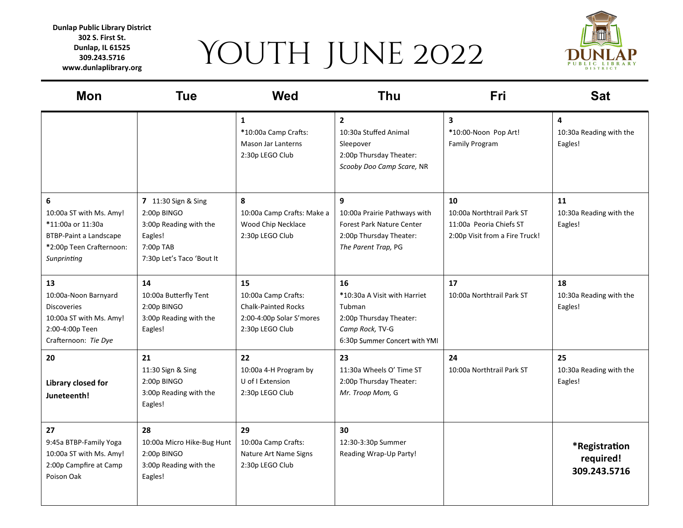## YOUTH JUNE 2022

**Dunlap Public Library District 302 S. First St. Dunlap, IL 61525 309.243.5716 www.dunlaplibrary.org**



| <b>Mon</b>                                                                                                             | <b>Tue</b>                                                                                                        | <b>Wed</b>                                                                                             | Thu                                                                                                                         | Fri                                                                                          | <b>Sat</b>                                 |
|------------------------------------------------------------------------------------------------------------------------|-------------------------------------------------------------------------------------------------------------------|--------------------------------------------------------------------------------------------------------|-----------------------------------------------------------------------------------------------------------------------------|----------------------------------------------------------------------------------------------|--------------------------------------------|
|                                                                                                                        |                                                                                                                   | $\mathbf{1}$<br>*10:00a Camp Crafts:<br>Mason Jar Lanterns<br>2:30p LEGO Club                          | $\mathbf{2}$<br>10:30a Stuffed Animal<br>Sleepover<br>2:00p Thursday Theater:<br>Scooby Doo Camp Scare, NR                  | 3<br>*10:00-Noon Pop Art!<br>Family Program                                                  | 4<br>10:30a Reading with the<br>Eagles!    |
| 6<br>10:00a ST with Ms. Amy!<br>*11:00a or 11:30a<br>BTBP-Paint a Landscape<br>*2:00p Teen Crafternoon:<br>Sunprinting | 7 11:30 Sign & Sing<br>2:00p BINGO<br>3:00p Reading with the<br>Eagles!<br>7:00p TAB<br>7:30p Let's Taco 'Bout It | 8<br>10:00a Camp Crafts: Make a<br>Wood Chip Necklace<br>2:30p LEGO Club                               | 9<br>10:00a Prairie Pathways with<br><b>Forest Park Nature Center</b><br>2:00p Thursday Theater:<br>The Parent Trap, PG     | 10<br>10:00a Northtrail Park ST<br>11:00a Peoria Chiefs ST<br>2:00p Visit from a Fire Truck! | 11<br>10:30a Reading with the<br>Eagles!   |
| 13<br>10:00a-Noon Barnyard<br><b>Discoveries</b><br>10:00a ST with Ms. Amy!<br>2:00-4:00p Teen<br>Crafternoon: Tie Dye | 14<br>10:00a Butterfly Tent<br>2:00p BINGO<br>3:00p Reading with the<br>Eagles!                                   | 15<br>10:00a Camp Crafts:<br><b>Chalk-Painted Rocks</b><br>2:00-4:00p Solar S'mores<br>2:30p LEGO Club | 16<br>*10:30a A Visit with Harriet<br>Tubman<br>2:00p Thursday Theater:<br>Camp Rock, TV-G<br>6:30p Summer Concert with YMI | 17<br>10:00a Northtrail Park ST                                                              | 18<br>10:30a Reading with the<br>Eagles!   |
| 20<br>Library closed for<br>Juneteenth!                                                                                | 21<br>11:30 Sign & Sing<br>2:00p BINGO<br>3:00p Reading with the<br>Eagles!                                       | 22<br>10:00a 4-H Program by<br>U of I Extension<br>2:30p LEGO Club                                     | 23<br>11:30a Wheels O' Time ST<br>2:00p Thursday Theater:<br>Mr. Troop Mom, G                                               | 24<br>10:00a Northtrail Park ST                                                              | 25<br>10:30a Reading with the<br>Eagles!   |
| 27<br>9:45a BTBP-Family Yoga<br>10:00a ST with Ms. Amy!<br>2:00p Campfire at Camp<br>Poison Oak                        | 28<br>10:00a Micro Hike-Bug Hunt<br>2:00p BINGO<br>3:00p Reading with the<br>Eagles!                              | 29<br>10:00a Camp Crafts:<br>Nature Art Name Signs<br>2:30p LEGO Club                                  | 30<br>12:30-3:30p Summer<br>Reading Wrap-Up Party!                                                                          |                                                                                              | *Registration<br>required!<br>309.243.5716 |